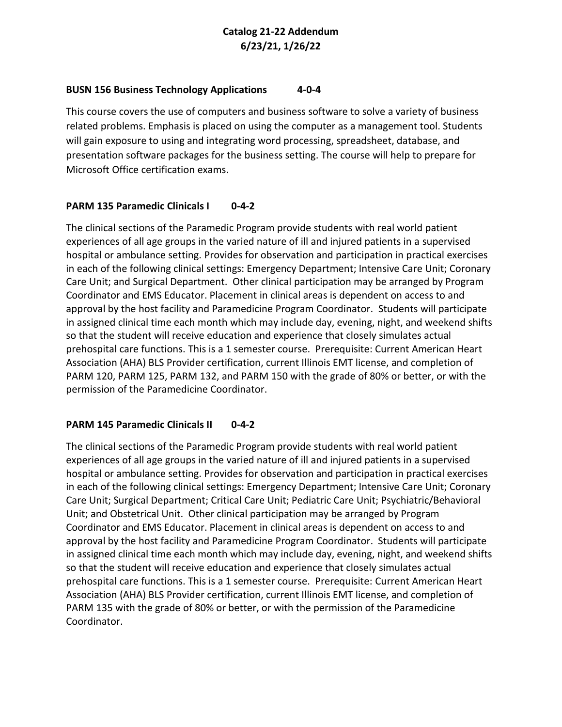# **Catalog 21-22 Addendum 6/23/21, 1/26/22**

#### **BUSN 156 Business Technology Applications 4-0-4**

This course covers the use of computers and business software to solve a variety of business related problems. Emphasis is placed on using the computer as a management tool. Students will gain exposure to using and integrating word processing, spreadsheet, database, and presentation software packages for the business setting. The course will help to prepare for Microsoft Office certification exams.

# **PARM 135 Paramedic Clinicals I 0-4-2**

The clinical sections of the Paramedic Program provide students with real world patient experiences of all age groups in the varied nature of ill and injured patients in a supervised hospital or ambulance setting. Provides for observation and participation in practical exercises in each of the following clinical settings: Emergency Department; Intensive Care Unit; Coronary Care Unit; and Surgical Department. Other clinical participation may be arranged by Program Coordinator and EMS Educator. Placement in clinical areas is dependent on access to and approval by the host facility and Paramedicine Program Coordinator.Students will participate in assigned clinical time each month which may include day, evening, night, and weekend shifts so that the student will receive education and experience that closely simulates actual prehospital care functions. This is a 1 semester course. Prerequisite: Current American Heart Association (AHA) BLS Provider certification, current Illinois EMT license, and completion of PARM 120, PARM 125, PARM 132, and PARM 150 with the grade of 80% or better, or with the permission of the Paramedicine Coordinator.

# **PARM 145 Paramedic Clinicals II 0-4-2**

The clinical sections of the Paramedic Program provide students with real world patient experiences of all age groups in the varied nature of ill and injured patients in a supervised hospital or ambulance setting. Provides for observation and participation in practical exercises in each of the following clinical settings: Emergency Department; Intensive Care Unit; Coronary Care Unit; Surgical Department; Critical Care Unit; Pediatric Care Unit; Psychiatric/Behavioral Unit; and Obstetrical Unit. Other clinical participation may be arranged by Program Coordinator and EMS Educator. Placement in clinical areas is dependent on access to and approval by the host facility and Paramedicine Program Coordinator. Students will participate in assigned clinical time each month which may include day, evening, night, and weekend shifts so that the student will receive education and experience that closely simulates actual prehospital care functions. This is a 1 semester course. Prerequisite: Current American Heart Association (AHA) BLS Provider certification, current Illinois EMT license, and completion of PARM 135 with the grade of 80% or better, or with the permission of the Paramedicine Coordinator.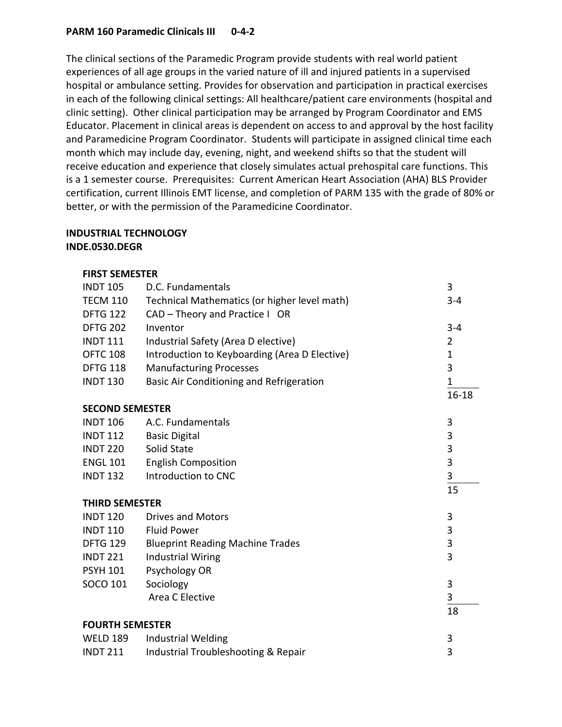# **PARM 160 Paramedic Clinicals III 0-4-2**

The clinical sections of the Paramedic Program provide students with real world patient experiences of all age groups in the varied nature of ill and injured patients in a supervised hospital or ambulance setting. Provides for observation and participation in practical exercises in each of the following clinical settings: All healthcare/patient care environments (hospital and clinic setting). Other clinical participation may be arranged by Program Coordinator and EMS Educator. Placement in clinical areas is dependent on access to and approval by the host facility and Paramedicine Program Coordinator. Students will participate in assigned clinical time each month which may include day, evening, night, and weekend shifts so that the student will receive education and experience that closely simulates actual prehospital care functions. This is a 1 semester course. Prerequisites: Current American Heart Association (AHA) BLS Provider certification, current Illinois EMT license, and completion of PARM 135 with the grade of 80% or better, or with the permission of the Paramedicine Coordinator.

# **INDUSTRIAL TECHNOLOGY**

# **INDE.0530.DEGR**

#### **FIRST SEMESTER**

| D.C. Fundamentals                              | 3           |
|------------------------------------------------|-------------|
| Technical Mathematics (or higher level math)   | $3 - 4$     |
| CAD - Theory and Practice I OR                 |             |
| Inventor                                       | $3 - 4$     |
| Industrial Safety (Area D elective)            | 2           |
| Introduction to Keyboarding (Area D Elective)  | $\mathbf 1$ |
| <b>Manufacturing Processes</b>                 | 3           |
| Basic Air Conditioning and Refrigeration       | 1           |
|                                                | $16 - 18$   |
| <b>SECOND SEMESTER</b>                         |             |
| A.C. Fundamentals                              | 3           |
| <b>Basic Digital</b>                           | 3           |
| Solid State                                    | 3           |
| <b>English Composition</b>                     | 3           |
| Introduction to CNC                            | 3           |
|                                                | 15          |
| <b>THIRD SEMESTER</b>                          |             |
| <b>Drives and Motors</b>                       | 3           |
| <b>Fluid Power</b>                             | 3           |
| <b>Blueprint Reading Machine Trades</b>        | 3           |
| <b>Industrial Wiring</b>                       | 3           |
| Psychology OR                                  |             |
| Sociology                                      | 3           |
| Area C Elective                                | 3           |
|                                                | 18          |
| <b>FOURTH SEMESTER</b>                         |             |
| Industrial Welding                             | 3           |
| <b>Industrial Troubleshooting &amp; Repair</b> | 3           |
|                                                |             |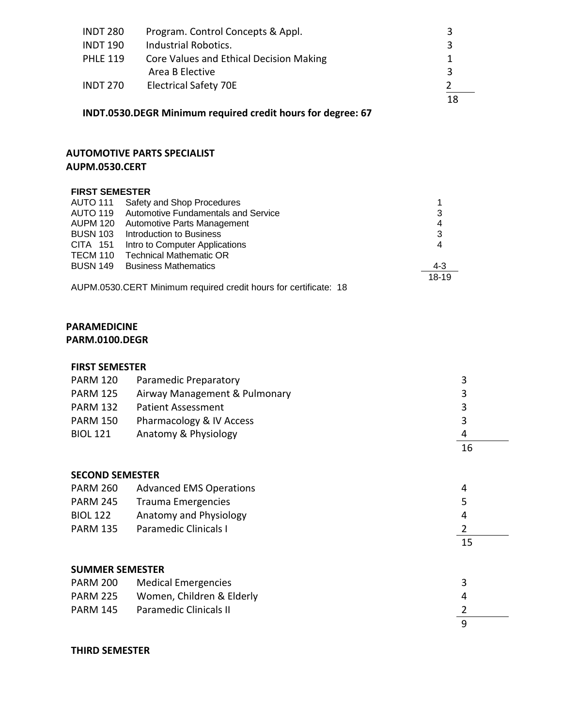| <b>INDT 280</b> | Program. Control Concepts & Appl.       | 3 |
|-----------------|-----------------------------------------|---|
| <b>INDT 190</b> | Industrial Robotics.                    | 3 |
| <b>PHLE 119</b> | Core Values and Ethical Decision Making |   |
|                 | Area B Elective                         | 3 |
| <b>INDT 270</b> | <b>Electrical Safety 70E</b>            |   |
|                 |                                         |   |

# **INDT.0530.DEGR Minimum required credit hours for degree: 67**

# **AUTOMOTIVE PARTS SPECIALIST AUPM.0530.CERT**

#### **FIRST SEMESTER**

| <b>AUTO 111</b>                                                  | Safety and Shop Procedures          |         |
|------------------------------------------------------------------|-------------------------------------|---------|
| <b>AUTO 119</b>                                                  | Automotive Fundamentals and Service | 3       |
| <b>AUPM 120</b>                                                  | Automotive Parts Management         | 4       |
| <b>BUSN 103</b>                                                  | Introduction to Business            | 3       |
| CITA 151                                                         | Intro to Computer Applications      | 4       |
| TECM 110                                                         | <b>Technical Mathematic OR</b>      |         |
| <b>BUSN 149</b>                                                  | <b>Business Mathematics</b>         | $4 - 3$ |
|                                                                  |                                     | 18-19   |
| AUPM.0530.CERT Minimum required credit hours for certificate: 18 |                                     |         |

#### **PARAMEDICINE**

# **PARM.0100.DEGR**

#### **FIRST SEMESTER**

| <b>PARM 120</b> | Paramedic Preparatory         |    |
|-----------------|-------------------------------|----|
| <b>PARM 125</b> | Airway Management & Pulmonary | 3  |
| <b>PARM 132</b> | Patient Assessment            | 3  |
| <b>PARM 150</b> | Pharmacology & IV Access      | ર  |
| <b>BIOL 121</b> | Anatomy & Physiology          | 4  |
|                 |                               | 16 |

#### **SECOND SEMESTER**

| <b>PARM 260</b> | <b>Advanced EMS Operations</b> | д  |
|-----------------|--------------------------------|----|
| <b>PARM 245</b> | <b>Trauma Emergencies</b>      |    |
| <b>BIOL 122</b> | Anatomy and Physiology         | Δ  |
| <b>PARM 135</b> | Paramedic Clinicals I          |    |
|                 |                                | 15 |

# **SUMMER SEMESTER**

| <b>PARM 200</b> | Medical Emergencies       |   |
|-----------------|---------------------------|---|
| <b>PARM 225</b> | Women, Children & Elderly |   |
| <b>PARM 145</b> | Paramedic Clinicals II    |   |
|                 |                           | a |

# **THIRD SEMESTER**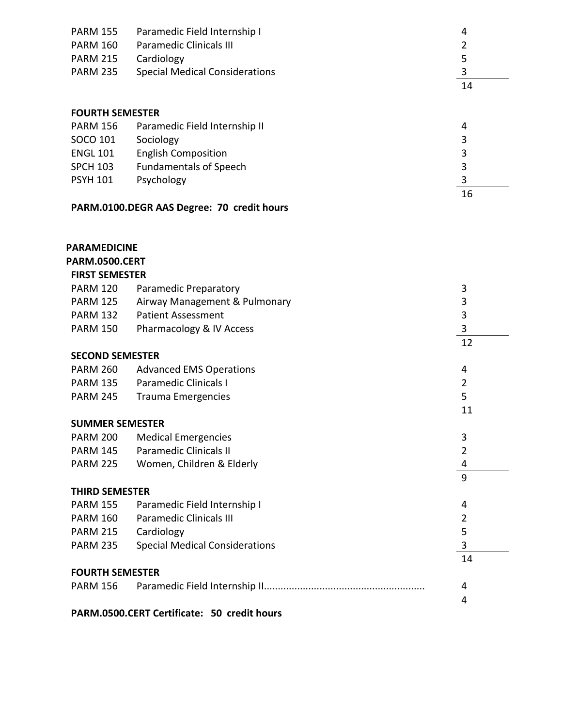| <b>PARM 155</b> | Paramedic Field Internship I          | Δ  |
|-----------------|---------------------------------------|----|
| PARM 160        | <b>Paramedic Clinicals III</b>        |    |
| <b>PARM 215</b> | Cardiology                            |    |
| <b>PARM 235</b> | <b>Special Medical Considerations</b> |    |
|                 |                                       | 14 |

# **FOURTH SEMESTER**

| <b>PARM 156</b> | Paramedic Field Internship II | 4  |
|-----------------|-------------------------------|----|
| SOCO 101        | Sociology                     | 3  |
| <b>ENGL 101</b> | <b>English Composition</b>    | 3  |
| <b>SPCH 103</b> | <b>Fundamentals of Speech</b> | 3  |
| <b>PSYH 101</b> | Psychology                    | 3  |
|                 |                               | 16 |

# **PARM.0100.DEGR AAS Degree: 70 credit hours**

# **PARAMEDICINE**

# **PARM.0500.CERT**

| <b>FIRST SEMESTER</b>  |                                |    |
|------------------------|--------------------------------|----|
| <b>PARM 120</b>        | Paramedic Preparatory          | 3  |
| <b>PARM 125</b>        | Airway Management & Pulmonary  | 3  |
| <b>PARM 132</b>        | Patient Assessment             | 3  |
| <b>PARM 150</b>        | Pharmacology & IV Access       |    |
|                        |                                | 12 |
| <b>SECOND SEMESTER</b> |                                |    |
| <b>PARM 260</b>        | <b>Advanced EMS Operations</b> |    |

|                        | $1.111111 = 00$ $1.0110000 = 1110000$ |    |  |
|------------------------|---------------------------------------|----|--|
| PARM 135               | <b>Paramedic Clinicals I</b>          |    |  |
| PARM 245               | Trauma Emergencies                    |    |  |
|                        |                                       | 11 |  |
| <b>SUMMER SEMESTER</b> |                                       |    |  |
| <b>DADMA 300</b>       | <b>Address Providence Contract</b>    | ⌒  |  |

| <b>PARM 200</b>        | <b>Medical Emergencies</b>            | 3  |
|------------------------|---------------------------------------|----|
| <b>PARM 145</b>        | Paramedic Clinicals II                |    |
| <b>PARM 225</b>        | Women, Children & Elderly             | 4  |
|                        |                                       | 9  |
| <b>THIRD SEMESTER</b>  |                                       |    |
| <b>PARM 155</b>        | Paramedic Field Internship I          | 4  |
| <b>PARM 160</b>        | <b>Paramedic Clinicals III</b>        |    |
| <b>PARM 215</b>        | Cardiology                            | 5  |
| <b>PARM 235</b>        | <b>Special Medical Considerations</b> |    |
|                        |                                       | 14 |
| <b>FOURTH SEMESTER</b> |                                       |    |
| PARM 156               |                                       |    |
|                        |                                       |    |

**PARM.0500.CERT Certificate: 50 credit hours**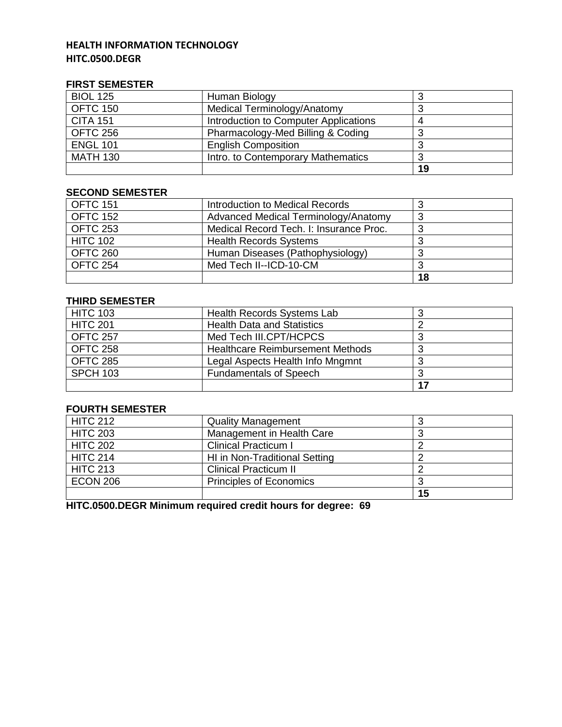# **HEALTH INFORMATION TECHNOLOGY HITC.0500.DEGR**

#### **FIRST SEMESTER**

| <b>BIOL 125</b> | Human Biology                         |    |
|-----------------|---------------------------------------|----|
| <b>OFTC 150</b> | Medical Terminology/Anatomy           |    |
| <b>CITA 151</b> | Introduction to Computer Applications |    |
| <b>OFTC 256</b> | Pharmacology-Med Billing & Coding     |    |
| <b>ENGL 101</b> | <b>English Composition</b>            |    |
| <b>MATH 130</b> | Intro. to Contemporary Mathematics    |    |
|                 |                                       | 19 |

# **SECOND SEMESTER**

| <b>OFTC 151</b> | Introduction to Medical Records         |    |
|-----------------|-----------------------------------------|----|
| <b>OFTC 152</b> | Advanced Medical Terminology/Anatomy    |    |
| <b>OFTC 253</b> | Medical Record Tech. I: Insurance Proc. |    |
| <b>HITC 102</b> | <b>Health Records Systems</b>           |    |
| OFTC 260        | Human Diseases (Pathophysiology)        |    |
| <b>OFTC 254</b> | Med Tech II--ICD-10-CM                  |    |
|                 |                                         | 18 |

# **THIRD SEMESTER**

| <b>HITC 103</b> | Health Records Systems Lab              |    |
|-----------------|-----------------------------------------|----|
| <b>HITC 201</b> | <b>Health Data and Statistics</b>       |    |
| <b>OFTC 257</b> | Med Tech III.CPT/HCPCS                  |    |
| <b>OFTC 258</b> | <b>Healthcare Reimbursement Methods</b> |    |
| OFTC 285        | Legal Aspects Health Info Mngmnt        |    |
| <b>SPCH 103</b> | <b>Fundamentals of Speech</b>           |    |
|                 |                                         | 17 |

# **FOURTH SEMESTER**

| <b>HITC 212</b> | <b>Quality Management</b>      |    |
|-----------------|--------------------------------|----|
| <b>HITC 203</b> | Management in Health Care      |    |
| <b>HITC 202</b> | <b>Clinical Practicum I</b>    |    |
| <b>HITC 214</b> | HI in Non-Traditional Setting  |    |
| <b>HITC 213</b> | <b>Clinical Practicum II</b>   |    |
| <b>ECON 206</b> | <b>Principles of Economics</b> |    |
|                 |                                | 15 |

**HITC.0500.DEGR Minimum required credit hours for degree: 69**